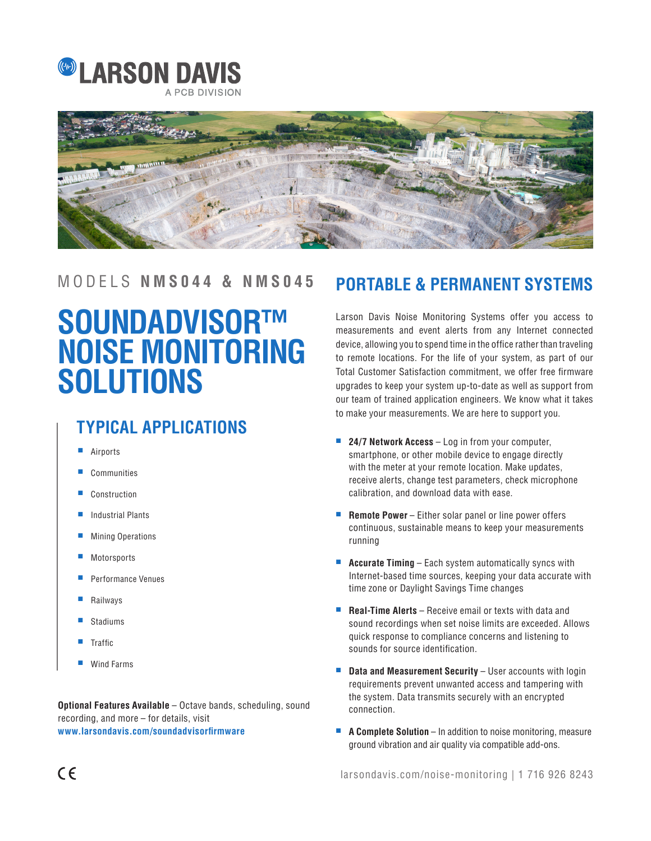



# **SOUNDADVISOR™ NOISE MONITORING SOLUTIONS**

### **TYPICAL APPLICATIONS**

- **Airports**
- **Communities**
- **Construction**
- Industrial Plants
- **Mining Operations**
- **Motorsports**
- Performance Venues
- **Railways**
- **Stadiums**
- **Traffic**
- Wind Farms

**Optional Features Available** – Octave bands, scheduling, sound recording, and more – for details, visit **www.larsondavis.com/soundadvisorfirmware**

### MODELS **NMS044 & NMS045 PORTABLE & PERMANENT SYSTEMS**

Larson Davis Noise Monitoring Systems offer you access to measurements and event alerts from any Internet connected device, allowing you to spend time in the office rather than traveling to remote locations. For the life of your system, as part of our Total Customer Satisfaction commitment, we offer free firmware upgrades to keep your system up-to-date as well as support from our team of trained application engineers. We know what it takes to make your measurements. We are here to support you.

- **24/7 Network Access** Log in from your computer, smartphone, or other mobile device to engage directly with the meter at your remote location. Make updates, receive alerts, change test parameters, check microphone calibration, and download data with ease.
- **Remote Power** Either solar panel or line power offers continuous, sustainable means to keep your measurements running
- **Accurate Timing** Each system automatically syncs with Internet-based time sources, keeping your data accurate with time zone or Daylight Savings Time changes
- **Real-Time Alerts** Receive email or texts with data and sound recordings when set noise limits are exceeded. Allows quick response to compliance concerns and listening to sounds for source identification.
- **Data and Measurement Security** User accounts with login requirements prevent unwanted access and tampering with the system. Data transmits securely with an encrypted connection.
- **A Complete Solution** In addition to noise monitoring, measure ground vibration and air quality via compatible add-ons.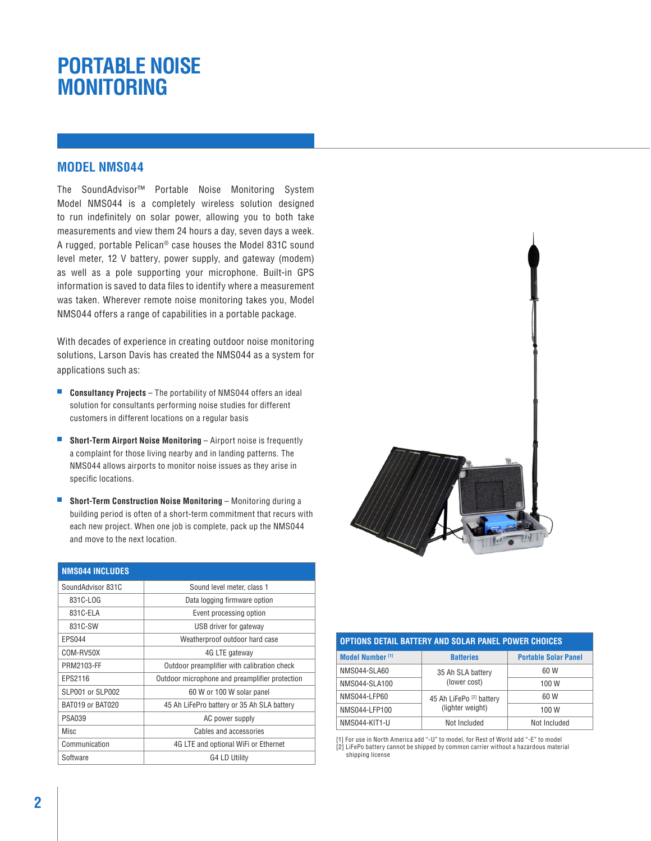## **PORTABLE NOISE MONITORING**

#### **MODEL NMS044**

The SoundAdvisor™ Portable Noise Monitoring System Model NMS044 is a completely wireless solution designed to run indefinitely on solar power, allowing you to both take measurements and view them 24 hours a day, seven days a week. A rugged, portable Pelican® case houses the Model 831C sound level meter, 12 V battery, power supply, and gateway (modem) as well as a pole supporting your microphone. Built-in GPS information is saved to data files to identify where a measurement was taken. Wherever remote noise monitoring takes you, Model NMS044 offers a range of capabilities in a portable package.

With decades of experience in creating outdoor noise monitoring solutions, Larson Davis has created the NMS044 as a system for applications such as:

- **Consultancy Projects** The portability of NMS044 offers an ideal solution for consultants performing noise studies for different customers in different locations on a regular basis
- **Short-Term Airport Noise Monitoring** Airport noise is frequently a complaint for those living nearby and in landing patterns. The NMS044 allows airports to monitor noise issues as they arise in specific locations.
- **Short-Term Construction Noise Monitoring –** Monitoring during a building period is often of a short-term commitment that recurs with each new project. When one job is complete, pack up the NMS044 and move to the next location.

| <b>NMS044 INCLUDES</b> |                                                |
|------------------------|------------------------------------------------|
| SoundAdvisor 831C      | Sound level meter, class 1                     |
| 831C-LOG               | Data logging firmware option                   |
| 831C-ELA               | Event processing option                        |
| 831C-SW                | USB driver for gateway                         |
| <b>EPS044</b>          | Weatherproof outdoor hard case                 |
| COM-RV50X              | 4G LTE gateway                                 |
| PRM2103-FF             | Outdoor preamplifier with calibration check    |
| EPS2116                | Outdoor microphone and preamplifier protection |
| SLP001 or SLP002       | 60 W or 100 W solar panel                      |
| BAT019 or BAT020       | 45 Ah LiFePro battery or 35 Ah SLA battery     |
| <b>PSA039</b>          | AC power supply                                |
| Misc                   | Cables and accessories                         |
| Communication          | 4G LTE and optional WiFi or Ethernet           |
| Software               | G4 LD Utility                                  |



| OPTIONS DETAIL BATTERY AND SOLAR PANEL POWER CHOICES |                                                         |                             |  |
|------------------------------------------------------|---------------------------------------------------------|-----------------------------|--|
| Model Number <sup>[1]</sup>                          | <b>Batteries</b>                                        | <b>Portable Solar Panel</b> |  |
| <b>NMS044-SLA60</b>                                  | 35 Ah SLA battery<br>(lower cost)                       | 60 W                        |  |
| NMS044-SLA100                                        |                                                         | 100 W                       |  |
| NMS044-LFP60                                         | 45 Ah LiFePo <sup>[2]</sup> battery<br>(lighter weight) | 60 W                        |  |
| NMS044-LFP100                                        |                                                         | 100W                        |  |
| NMS044-KIT1-U                                        | Not Included                                            | Not Included                |  |

[1] For use in North America add "-U" to model, for Rest of World add "-E" to model [2] LiFePo battery cannot be shipped by common carrier without a hazardous material shipping license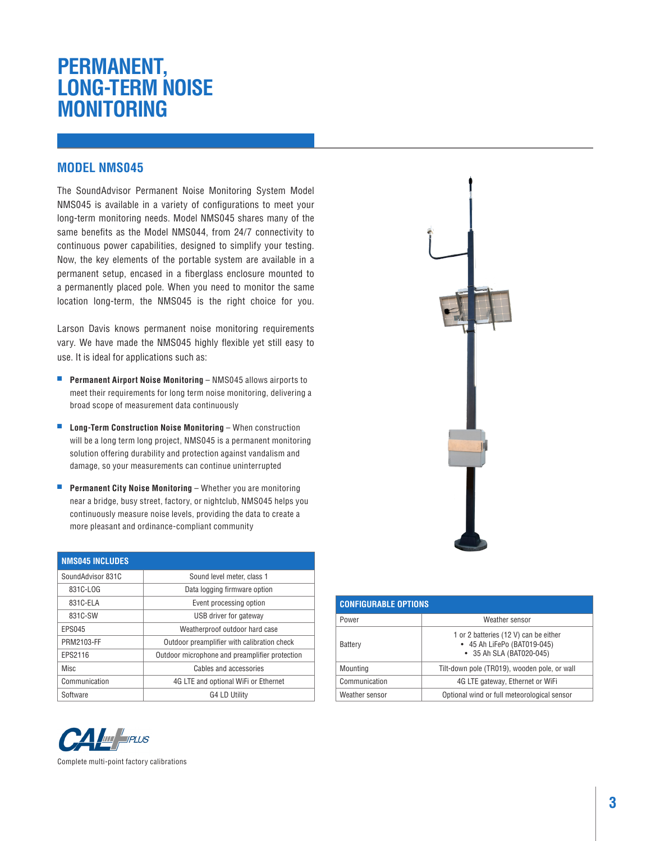## **PERMANENT, LONG-TERM NOISE MONITORING**

#### **MODEL NMS045**

The SoundAdvisor Permanent Noise Monitoring System Model NMS045 is available in a variety of configurations to meet your long-term monitoring needs. Model NMS045 shares many of the same benefits as the Model NMS044, from 24/7 connectivity to continuous power capabilities, designed to simplify your testing. Now, the key elements of the portable system are available in a permanent setup, encased in a fiberglass enclosure mounted to a permanently placed pole. When you need to monitor the same location long-term, the NMS045 is the right choice for you.

Larson Davis knows permanent noise monitoring requirements vary. We have made the NMS045 highly flexible yet still easy to use. It is ideal for applications such as:

- **Permanent Airport Noise Monitoring** NMS045 allows airports to meet their requirements for long term noise monitoring, delivering a broad scope of measurement data continuously
- **Long-Term Construction Noise Monitoring** When construction will be a long term long project, NMS045 is a permanent monitoring solution offering durability and protection against vandalism and damage, so your measurements can continue uninterrupted
- **Permanent City Noise Monitoring** Whether you are monitoring near a bridge, busy street, factory, or nightclub, NMS045 helps you continuously measure noise levels, providing the data to create a more pleasant and ordinance-compliant community

| <b>NMS045 INCLUDES</b> |                                                |
|------------------------|------------------------------------------------|
| SoundAdvisor 831C      | Sound level meter, class 1                     |
| 831C-LOG               | Data logging firmware option                   |
| 831C-ELA               | Event processing option                        |
| 831C-SW                | USB driver for gateway                         |
| <b>EPS045</b>          | Weatherproof outdoor hard case                 |
| PRM2103-FF             | Outdoor preamplifier with calibration check    |
| EPS2116                | Outdoor microphone and preamplifier protection |
| Misc                   | Cables and accessories                         |
| Communication          | 4G LTE and optional WiFi or Ethernet           |
| Software               | G4 LD Utility                                  |



Complete multi-point factory calibrations



| <b>CONFIGURABLE OPTIONS</b> |                                                                                                  |  |
|-----------------------------|--------------------------------------------------------------------------------------------------|--|
| Power                       | Weather sensor                                                                                   |  |
| Battery                     | 1 or 2 batteries (12 V) can be either<br>• 45 Ah LiFePo (BAT019-045)<br>• 35 Ah SLA (BAT020-045) |  |
| Mounting                    | Tilt-down pole (TR019), wooden pole, or wall                                                     |  |
| Communication               | 4G LTE gateway, Ethernet or WiFi                                                                 |  |
| Weather sensor              | Optional wind or full meteorological sensor                                                      |  |